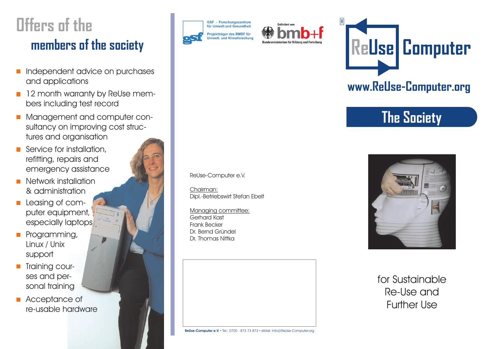# **members of the society Offers of the**

- Independent advice on purchases  $\overline{\mathbb{R}^n}$ and applications
- 12 month warranty by ReUse members including test record
- Management and computer consultancy on improving cost structures and organisation
- Service for installation, refitting, repairs and emergency assistance
- Network installation  $\mathcal{L}_{\mathcal{A}}$ & administration
- Leasing of com- $\mathbb{R}^n$ puter equipment, especially laptops
- Programming,  $\mathcal{L}_{\mathcal{A}}$ Linux / Unix support
- Training courses and personal training
- **Acceptance of** re-usable hardware







### **www.ReUse-Computer.org**

# **The Society**

ReUse-Computer e.V.

Chairman: Dipl.-Betriebswirt Stefan Ebelt

Managing committee: Gerhard Kast Frank Becker Dr. Bernd Gründel Dr. Thomas Nittka



#### for Sustainable Re-Use and Further Use

**ReUse-Computer e.V.** • Tel.: 0700 - 873 73 873 • eMail: Info@ReUse-Computer.org